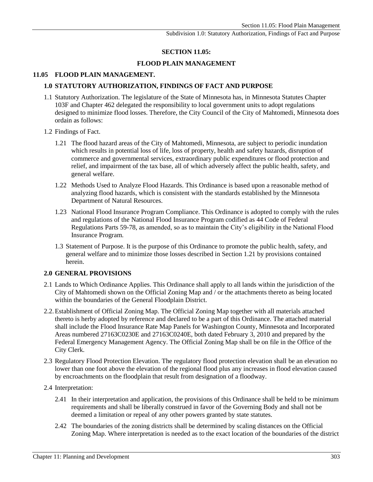## **SECTION 11.05:**

## **FLOOD PLAIN MANAGEMENT**

## **11.05 FLOOD PLAIN MANAGEMENT.**

## **1.0 STATUTORY AUTHORIZATION, FINDINGS OF FACT AND PURPOSE**

- 1.1 Statutory Authorization. The legislature of the State of Minnesota has, in [Minnesota Statutes Chapter](https://www.revisor.mn.gov/statutes/?id=103F.201)  [103F](https://www.revisor.mn.gov/statutes/?id=103F.201) and [Chapter 462](https://www.revisor.mn.gov/statutes/?id=462.354) delegated the responsibility to local government units to adopt regulations designed to minimize flood losses. Therefore, the City Council of the City of Mahtomedi, Minnesota does ordain as follows:
- 1.2 Findings of Fact.
	- 1.21 The flood hazard areas of the City of Mahtomedi, Minnesota, are subject to periodic inundation which results in potential loss of life, loss of property, health and safety hazards, disruption of commerce and governmental services, extraordinary public expenditures or flood protection and relief, and impairment of the tax base, all of which adversely affect the public health, safety, and general welfare.
	- 1.22 Methods Used to Analyze Flood Hazards. This Ordinance is based upon a reasonable method of analyzing flood hazards, which is consistent with the standards established by the Minnesota Department of Natural Resources.
	- 1.23 National Flood Insurance Program Compliance. This Ordinance is adopted to comply with the rules and regulations of the [National Flood Insurance Program codified as 44 Code of Federal](http://www.access.gpo.gov/nara/cfr/waisidx_02/44cfrv1_02.html)  [Regulations Parts 59-78,](http://www.access.gpo.gov/nara/cfr/waisidx_02/44cfrv1_02.html) as amended, so as to maintain the City's eligibility in the National Flood Insurance Program.
	- 1.3 Statement of Purpose. It is the purpose of this Ordinance to promote the public health, safety, and general welfare and to minimize those losses described in Section 1.21 by provisions contained herein.

### **2.0 GENERAL PROVISIONS**

- 2.1 Lands to Which Ordinance Applies. This Ordinance shall apply to all lands within the jurisdiction of the City of Mahtomedi shown on the Official Zoning Map and / or the attachments thereto as being located within the boundaries of the General Floodplain District.
- 2.2.Establishment of Official Zoning Map. The Official Zoning Map together with all materials attached thereto is herby adopted by reference and declared to be a part of this Ordinance. The attached material shall include the Flood Insurance Rate Map Panels for Washington County, Minnesota and Incorporated Areas numbered 27163C0230E and 27163C0240E, both dated February 3, 2010 and prepared by the Federal Emergency Management Agency. The Official Zoning Map shall be on file in the Office of the City Clerk.
- 2.3 Regulatory Flood Protection Elevation. The regulatory flood protection elevation shall be an elevation no lower than one foot above the elevation of the regional flood plus any increases in flood elevation caused by encroachments on the floodplain that result from designation of a floodway.
- 2.4 Interpretation:
	- 2.41 In their interpretation and application, the provisions of this Ordinance shall be held to be minimum requirements and shall be liberally construed in favor of the Governing Body and shall not be deemed a limitation or repeal of any other powers granted by state statutes.
	- 2.42 The boundaries of the zoning districts shall be determined by scaling distances on the Official Zoning Map. Where interpretation is needed as to the exact location of the boundaries of the district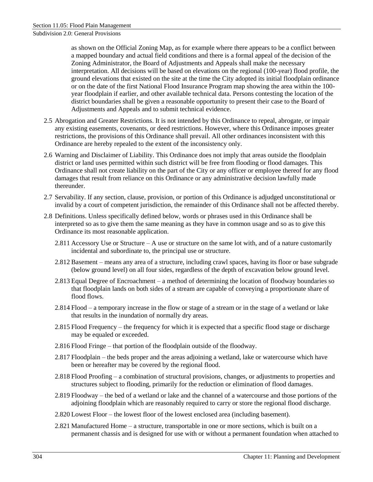Subdivision 2.0: General Provisions

as shown on the Official Zoning Map, as for example where there appears to be a conflict between a mapped boundary and actual field conditions and there is a formal appeal of the decision of the Zoning Administrator, the Board of Adjustments and Appeals shall make the necessary interpretation. All decisions will be based on elevations on the regional (100-year) flood profile, the ground elevations that existed on the site at the time the City adopted its initial floodplain ordinance or on the date of the first National Flood Insurance Program map showing the area within the 100 year floodplain if earlier, and other available technical data. Persons contesting the location of the district boundaries shall be given a reasonable opportunity to present their case to the Board of Adjustments and Appeals and to submit technical evidence.

- 2.5 Abrogation and Greater Restrictions. It is not intended by this Ordinance to repeal, abrogate, or impair any existing easements, covenants, or deed restrictions. However, where this Ordinance imposes greater restrictions, the provisions of this Ordinance shall prevail. All other ordinances inconsistent with this Ordinance are hereby repealed to the extent of the inconsistency only.
- 2.6 Warning and Disclaimer of Liability. This Ordinance does not imply that areas outside the floodplain district or land uses permitted within such district will be free from flooding or flood damages. This Ordinance shall not create liability on the part of the City or any officer or employee thereof for any flood damages that result from reliance on this Ordinance or any administrative decision lawfully made thereunder.
- 2.7 Servability. If any section, clause, provision, or portion of this Ordinance is adjudged unconstitutional or invalid by a court of competent jurisdiction, the remainder of this Ordinance shall not be affected thereby.
- 2.8 Definitions. Unless specifically defined below, words or phrases used in this Ordinance shall be interpreted so as to give them the same meaning as they have in common usage and so as to give this Ordinance its most reasonable application.
	- 2.811 Accessory Use or Structure A use or structure on the same lot with, and of a nature customarily incidental and subordinate to, the principal use or structure.
	- 2.812 Basement means any area of a structure, including crawl spaces, having its floor or base subgrade (below ground level) on all four sides, regardless of the depth of excavation below ground level.
	- 2.813 Equal Degree of Encroachment a method of determining the location of floodway boundaries so that floodplain lands on both sides of a stream are capable of conveying a proportionate share of flood flows.
	- 2.814 Flood a temporary increase in the flow or stage of a stream or in the stage of a wetland or lake that results in the inundation of normally dry areas.
	- 2.815 Flood Frequency the frequency for which it is expected that a specific flood stage or discharge may be equaled or exceeded.
	- 2.816 Flood Fringe that portion of the floodplain outside of the floodway.
	- 2.817 Floodplain the beds proper and the areas adjoining a wetland, lake or watercourse which have been or hereafter may be covered by the regional flood.
	- 2.818 Flood Proofing a combination of structural provisions, changes, or adjustments to properties and structures subject to flooding, primarily for the reduction or elimination of flood damages.
	- 2.819 Floodway the bed of a wetland or lake and the channel of a watercourse and those portions of the adjoining floodplain which are reasonably required to carry or store the regional flood discharge.
	- 2.820 Lowest Floor the lowest floor of the lowest enclosed area (including basement).
	- 2.821 Manufactured Home a structure, transportable in one or more sections, which is built on a permanent chassis and is designed for use with or without a permanent foundation when attached to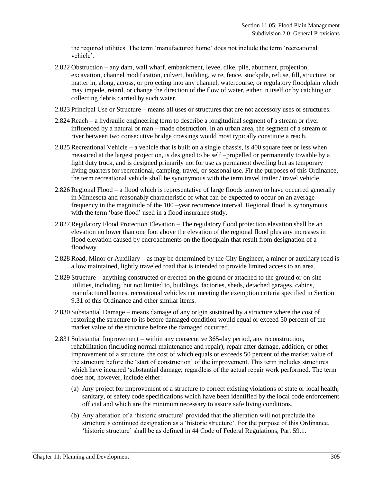the required utilities. The term 'manufactured home' does not include the term 'recreational vehicle'.

- 2.822 Obstruction any dam, wall wharf, embankment, levee, dike, pile, abutment, projection, excavation, channel modification, culvert, building, wire, fence, stockpile, refuse, fill, structure, or matter in, along, across, or projecting into any channel, watercourse, or regulatory floodplain which may impede, retard, or change the direction of the flow of water, either in itself or by catching or collecting debris carried by such water.
- 2.823 Principal Use or Structure means all uses or structures that are not accessory uses or structures.
- 2.824 Reach a hydraulic engineering term to describe a longitudinal segment of a stream or river influenced by a natural or man – made obstruction. In an urban area, the segment of a stream or river between two consecutive bridge crossings would most typically constitute a reach.
- 2.825 Recreational Vehicle a vehicle that is built on a single chassis, is 400 square feet or less when measured at the largest projection, is designed to be self –propelled or permanently towable by a light duty truck, and is designed primarily not for use as permanent dwelling but as temporary living quarters for recreational, camping, travel, or seasonal use. Fir the purposes of this Ordinance, the term recreational vehicle shall be synonymous with the term travel trailer / travel vehicle.
- 2.826 Regional Flood a flood which is representative of large floods known to have occurred generally in Minnesota and reasonably characteristic of what can be expected to occur on an average frequency in the magnitude of the 100 –year recurrence interval. Regional flood is synonymous with the term 'base flood' used in a flood insurance study.
- 2.827 Regulatory Flood Protection Elevation The regulatory flood protection elevation shall be an elevation no lower than one foot above the elevation of the regional flood plus any increases in flood elevation caused by encroachments on the floodplain that result from designation of a floodway.
- 2.828 Road, Minor or Auxiliary as may be determined by the City Engineer, a minor or auxiliary road is a low maintained, lightly traveled road that is intended to provide limited access to an area.
- 2.829 Structure anything constructed or erected on the ground or attached to the ground or on-site utilities, including, but not limited to, buildings, factories, sheds, detached garages, cabins, manufactured homes, recreational vehicles not meeting the exemption criteria specified in Section 9.31 of this Ordinance and other similar items.
- 2.830 Substantial Damage means damage of any origin sustained by a structure where the cost of restoring the structure to its before damaged condition would equal or exceed 50 percent of the market value of the structure before the damaged occurred.
- 2.831 Substantial Improvement within any consecutive 365-day period, any reconstruction, rehabilitation (including normal maintenance and repair), repair after damage, addition, or other improvement of a structure, the cost of which equals or exceeds 50 percent of the market value of the structure before the 'start of construction' of the improvement. This term includes structures which have incurred 'substantial damage; regardless of the actual repair work performed. The term does not, however, include either:
	- (a) Any project for improvement of a structure to correct existing violations of state or local health, sanitary, or safety code specifications which have been identified by the local code enforcement official and which are the minimum necessary to assure safe living conditions.
	- (b) Any alteration of a 'historic structure' provided that the alteration will not preclude the structure's continued designation as a 'historic structure'. For the purpose of this Ordinance, 'historic structure' shall be as defined in 44 Code of Federal Regulations, Part 59.1.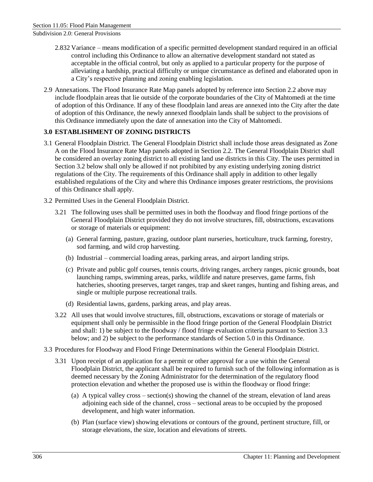Subdivision 2.0: General Provisions

- 2.832 Variance means modification of a specific permitted development standard required in an official control including this Ordinance to allow an alternative development standard not stated as acceptable in the official control, but only as applied to a particular property for the purpose of alleviating a hardship, practical difficulty or unique circumstance as defined and elaborated upon in a City's respective planning and zoning enabling legislation.
- 2.9 Annexations. The Flood Insurance Rate Map panels adopted by reference into Section 2.2 above may include floodplain areas that lie outside of the corporate boundaries of the City of Mahtomedi at the time of adoption of this Ordinance. If any of these floodplain land areas are annexed into the City after the date of adoption of this Ordinance, the newly annexed floodplain lands shall be subject to the provisions of this Ordinance immediately upon the date of annexation into the City of Mahtomedi.

## **3.0 ESTABLISHMENT OF ZONING DISTRICTS**

- 3.1 General Floodplain District. The General Floodplain District shall include those areas designated as Zone A on the Flood Insurance Rate Map panels adopted in Section 2.2. The General Floodplain District shall be considered an overlay zoning district to all existing land use districts in this City. The uses permitted in Section 3.2 below shall only be allowed if not prohibited by any existing underlying zoning district regulations of the City. The requirements of this Ordinance shall apply in addition to other legally established regulations of the City and where this Ordinance imposes greater restrictions, the provisions of this Ordinance shall apply.
- 3.2 Permitted Uses in the General Floodplain District.
	- 3.21 The following uses shall be permitted uses in both the floodway and flood fringe portions of the General Floodplain District provided they do not involve structures, fill, obstructions, excavations or storage of materials or equipment:
		- (a) General farming, pasture, grazing, outdoor plant nurseries, horticulture, truck farming, forestry, sod farming, and wild crop harvesting.
		- (b) Industrial commercial loading areas, parking areas, and airport landing strips.
		- (c) Private and public golf courses, tennis courts, driving ranges, archery ranges, picnic grounds, boat launching ramps, swimming areas, parks, wildlife and nature preserves, game farms, fish hatcheries, shooting preserves, target ranges, trap and skeet ranges, hunting and fishing areas, and single or multiple purpose recreational trails.
		- (d) Residential lawns, gardens, parking areas, and play areas.
	- 3.22 All uses that would involve structures, fill, obstructions, excavations or storage of materials or equipment shall only be permissible in the flood fringe portion of the General Floodplain District and shall: 1) be subject to the floodway / flood fringe evaluation criteria pursuant to Section 3.3 below; and 2) be subject to the performance standards of Section 5.0 in this Ordinance.
- 3.3 Procedures for Floodway and Flood Fringe Determinations within the General Floodplain District.
	- 3.31 Upon receipt of an application for a permit or other approval for a use within the General Floodplain District, the applicant shall be required to furnish such of the following information as is deemed necessary by the Zoning Administrator for the determination of the regulatory flood protection elevation and whether the proposed use is within the floodway or flood fringe:
		- (a) A typical valley cross section(s) showing the channel of the stream, elevation of land areas adjoining each side of the channel, cross – sectional areas to be occupied by the proposed development, and high water information.
		- (b) Plan (surface view) showing elevations or contours of the ground, pertinent structure, fill, or storage elevations, the size, location and elevations of streets.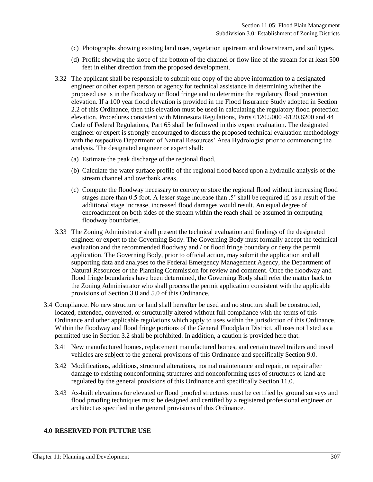#### (c) Photographs showing existing land uses, vegetation upstream and downstream, and soil types.

- (d) Profile showing the slope of the bottom of the channel or flow line of the stream for at least 500 feet in either direction from the proposed development.
- 3.32 The applicant shall be responsible to submit one copy of the above information to a designated engineer or other expert person or agency for technical assistance in determining whether the proposed use is in the floodway or flood fringe and to determine the regulatory flood protection elevation. If a 100 year flood elevation is provided in the Flood Insurance Study adopted in Section 2.2 of this Ordinance, then this elevation must be used in calculating the regulatory flood protection elevation. Procedures consistent with Minnesota Regulations, Parts 6120.5000 -6120.6200 and 44 Code of Federal Regulations, Part 65 shall be followed in this expert evaluation. The designated engineer or expert is strongly encouraged to discuss the proposed technical evaluation methodology with the respective Department of Natural Resources' Area Hydrologist prior to commencing the analysis. The designated engineer or expert shall:
	- (a) Estimate the peak discharge of the regional flood.
	- (b) Calculate the water surface profile of the regional flood based upon a hydraulic analysis of the stream channel and overbank areas.
	- (c) Compute the floodway necessary to convey or store the regional flood without increasing flood stages more than 0.5 foot. A lesser stage increase than .5' shall be required if, as a result of the additional stage increase, increased flood damages would result. An equal degree of encroachment on both sides of the stream within the reach shall be assumed in computing floodway boundaries.
- 3.33 The Zoning Administrator shall present the technical evaluation and findings of the designated engineer or expert to the Governing Body. The Governing Body must formally accept the technical evaluation and the recommended floodway and / or flood fringe boundary or deny the permit application. The Governing Body, prior to official action, may submit the application and all supporting data and analyses to the Federal Emergency Management Agency, the Department of Natural Resources or the Planning Commission for review and comment. Once the floodway and flood fringe boundaries have been determined, the Governing Body shall refer the matter back to the Zoning Administrator who shall process the permit application consistent with the applicable provisions of Section 3.0 and 5.0 of this Ordinance.
- 3.4 Compliance. No new structure or land shall hereafter be used and no structure shall be constructed, located, extended, converted, or structurally altered without full compliance with the terms of this Ordinance and other applicable regulations which apply to uses within the jurisdiction of this Ordinance. Within the floodway and flood fringe portions of the General Floodplain District, all uses not listed as a permitted use in Section 3.2 shall be prohibited. In addition, a caution is provided here that:
	- 3.41 New manufactured homes, replacement manufactured homes, and certain travel trailers and travel vehicles are subject to the general provisions of this Ordinance and specifically Section 9.0.
	- 3.42 Modifications, additions, structural alterations, normal maintenance and repair, or repair after damage to existing nonconforming structures and nonconforming uses of structures or land are regulated by the general provisions of this Ordinance and specifically Section 11.0.
	- 3.43 As-built elevations for elevated or flood proofed structures must be certified by ground surveys and flood proofing techniques must be designed and certified by a registered professional engineer or architect as specified in the general provisions of this Ordinance.

#### **4.0 RESERVED FOR FUTURE USE**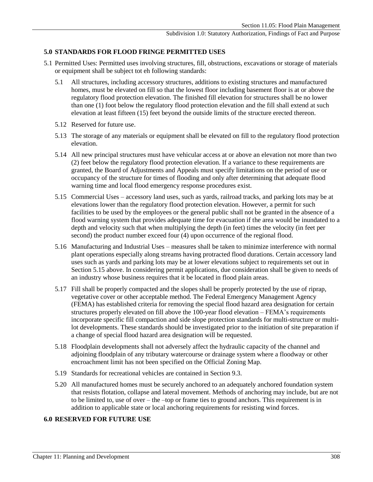## **5.0 STANDARDS FOR FLOOD FRINGE PERMITTED USES**

- 5.1 Permitted Uses: Permitted uses involving structures, fill, obstructions, excavations or storage of materials or equipment shall be subject tot eh following standards:
	- 5.1 All structures, including accessory structures, additions to existing structures and manufactured homes, must be elevated on fill so that the lowest floor including basement floor is at or above the regulatory flood protection elevation. The finished fill elevation for structures shall be no lower than one (1) foot below the regulatory flood protection elevation and the fill shall extend at such elevation at least fifteen (15) feet beyond the outside limits of the structure erected thereon.
	- 5.12 Reserved for future use.
	- 5.13 The storage of any materials or equipment shall be elevated on fill to the regulatory flood protection elevation.
	- 5.14 All new principal structures must have vehicular access at or above an elevation not more than two (2) feet below the regulatory flood protection elevation. If a variance to these requirements are granted, the Board of Adjustments and Appeals must specify limitations on the period of use or occupancy of the structure for times of flooding and only after determining that adequate flood warning time and local flood emergency response procedures exist.
	- 5.15 Commercial Uses accessory land uses, such as yards, railroad tracks, and parking lots may be at elevations lower than the regulatory flood protection elevation. However, a permit for such facilities to be used by the employees or the general public shall not be granted in the absence of a flood warning system that provides adequate time for evacuation if the area would be inundated to a depth and velocity such that when multiplying the depth (in feet) times the velocity (in feet per second) the product number exceed four (4) upon occurrence of the regional flood.
	- 5.16 Manufacturing and Industrial Uses measures shall be taken to minimize interference with normal plant operations especially along streams having protracted flood durations. Certain accessory land uses such as yards and parking lots may be at lower elevations subject to requirements set out in Section 5.15 above. In considering permit applications, due consideration shall be given to needs of an industry whose business requires that it be located in flood plain areas.
	- 5.17 Fill shall be properly compacted and the slopes shall be properly protected by the use of riprap, vegetative cover or other acceptable method. The Federal Emergency Management Agency (FEMA) has established criteria for removing the special flood hazard area designation for certain structures properly elevated on fill above the 100-year flood elevation – FEMA's requirements incorporate specific fill compaction and side slope protection standards for multi-structure or multilot developments. These standards should be investigated prior to the initiation of site preparation if a change of special flood hazard area designation will be requested.
	- 5.18 Floodplain developments shall not adversely affect the hydraulic capacity of the channel and adjoining floodplain of any tributary watercourse or drainage system where a floodway or other encroachment limit has not been specified on the Official Zoning Map.
	- 5.19 Standards for recreational vehicles are contained in Section 9.3.
	- 5.20 All manufactured homes must be securely anchored to an adequately anchored foundation system that resists flotation, collapse and lateral movement. Methods of anchoring may include, but are not to be limited to, use of over – the –top or frame ties to ground anchors. This requirement is in addition to applicable state or local anchoring requirements for resisting wind forces.

### **6.0 RESERVED FOR FUTURE USE**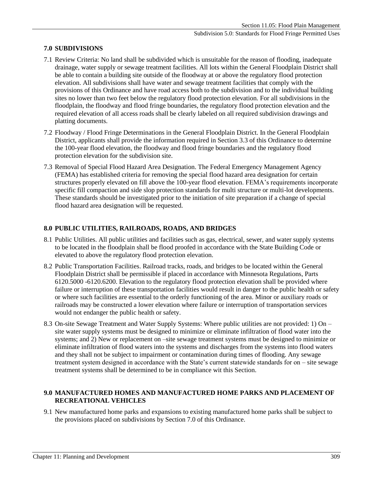# **7.0 SUBDIVISIONS**

- 7.1 Review Criteria: No land shall be subdivided which is unsuitable for the reason of flooding, inadequate drainage, water supply or sewage treatment facilities. All lots within the General Floodplain District shall be able to contain a building site outside of the floodway at or above the regulatory flood protection elevation. All subdivisions shall have water and sewage treatment facilities that comply with the provisions of this Ordinance and have road access both to the subdivision and to the individual building sites no lower than two feet below the regulatory flood protection elevation. For all subdivisions in the floodplain, the floodway and flood fringe boundaries, the regulatory flood protection elevation and the required elevation of all access roads shall be clearly labeled on all required subdivision drawings and platting documents.
- 7.2 Floodway / Flood Fringe Determinations in the General Floodplain District. In the General Floodplain District, applicants shall provide the information required in Section 3.3 of this Ordinance to determine the 100-year flood elevation, the floodway and flood fringe boundaries and the regulatory flood protection elevation for the subdivision site.
- 7.3 Removal of Special Flood Hazard Area Designation. The Federal Emergency Management Agency (FEMA) has established criteria for removing the special flood hazard area designation for certain structures properly elevated on fill above the 100-year flood elevation. FEMA's requirements incorporate specific fill compaction and side slop protection standards for multi structure or multi-lot developments. These standards should be investigated prior to the initiation of site preparation if a change of special flood hazard area designation will be requested.

## **8.0 PUBLIC UTILITIES, RAILROADS, ROADS, AND BRIDGES**

- 8.1 Public Utilities. All public utilities and facilities such as gas, electrical, sewer, and water supply systems to be located in the floodplain shall be flood proofed in accordance with the State Building Code or elevated to above the regulatory flood protection elevation.
- 8.2 Public Transportation Facilities. Railroad tracks, roads, and bridges to be located within the General Floodplain District shall be permissible if placed in accordance with Minnesota Regulations, Parts 6120.5000 -6120.6200. Elevation to the regulatory flood protection elevation shall be provided where failure or interruption of these transportation facilities would result in danger to the public health or safety or where such facilities are essential to the orderly functioning of the area. Minor or auxiliary roads or railroads may be constructed a lower elevation where failure or interruption of transportation services would not endanger the public health or safety.
- 8.3 On-site Sewage Treatment and Water Supply Systems: Where public utilities are not provided: 1) On site water supply systems must be designed to minimize or eliminate infiltration of flood water into the systems; and 2) New or replacement on –site sewage treatment systems must be designed to minimize or eliminate infiltration of flood waters into the systems and discharges from the systems into flood waters and they shall not be subject to impairment or contamination during times of flooding. Any sewage treatment system designed in accordance with the State's current statewide standards for on – site sewage treatment systems shall be determined to be in compliance wit this Section.

### **9.0 MANUFACTURED HOMES AND MANUFACTURED HOME PARKS AND PLACEMENT OF RECREATIONAL VEHICLES**

9.1 New manufactured home parks and expansions to existing manufactured home parks shall be subject to the provisions placed on subdivisions by Section 7.0 of this Ordinance.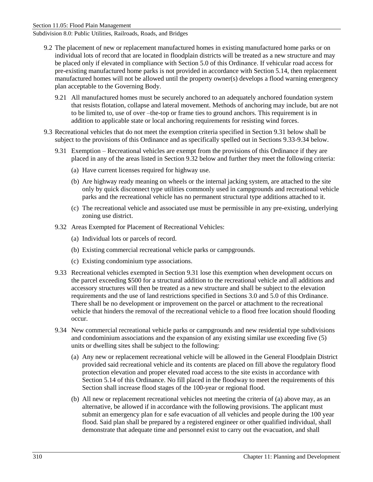Subdivision 8.0: Public Utilities, Railroads, Roads, and Bridges

- 9.2 The placement of new or replacement manufactured homes in existing manufactured home parks or on individual lots of record that are located in floodplain districts will be treated as a new structure and may be placed only if elevated in compliance with Section 5.0 of this Ordinance. If vehicular road access for pre-existing manufactured home parks is not provided in accordance with Section 5.14, then replacement manufactured homes will not be allowed until the property owner(s) develops a flood warning emergency plan acceptable to the Governing Body.
	- 9.21 All manufactured homes must be securely anchored to an adequately anchored foundation system that resists flotation, collapse and lateral movement. Methods of anchoring may include, but are not to be limited to, use of over –the-top or frame ties to ground anchors. This requirement is in addition to applicable state or local anchoring requirements for resisting wind forces.
- 9.3 Recreational vehicles that do not meet the exemption criteria specified in Section 9.31 below shall be subject to the provisions of this Ordinance and as specifically spelled out in Sections 9.33-9.34 below.
	- 9.31 Exemption Recreational vehicles are exempt from the provisions of this Ordinance if they are placed in any of the areas listed in Section 9.32 below and further they meet the following criteria:
		- (a) Have current licenses required for highway use.
		- (b) Are highway ready meaning on wheels or the internal jacking system, are attached to the site only by quick disconnect type utilities commonly used in campgrounds and recreational vehicle parks and the recreational vehicle has no permanent structural type additions attached to it.
		- (c) The recreational vehicle and associated use must be permissible in any pre-existing, underlying zoning use district.
	- 9.32 Areas Exempted for Placement of Recreational Vehicles:
		- (a) Individual lots or parcels of record.
		- (b) Existing commercial recreational vehicle parks or campgrounds.
		- (c) Existing condominium type associations.
	- 9.33 Recreational vehicles exempted in Section 9.31 lose this exemption when development occurs on the parcel exceeding \$500 for a structural addition to the recreational vehicle and all additions and accessory structures will then be treated as a new structure and shall be subject to the elevation requirements and the use of land restrictions specified in Sections 3.0 and 5.0 of this Ordinance. There shall be no development or improvement on the parcel or attachment to the recreational vehicle that hinders the removal of the recreational vehicle to a flood free location should flooding occur.
	- 9.34 New commercial recreational vehicle parks or campgrounds and new residential type subdivisions and condominium associations and the expansion of any existing similar use exceeding five (5) units or dwelling sites shall be subject to the following:
		- (a) Any new or replacement recreational vehicle will be allowed in the General Floodplain District provided said recreational vehicle and its contents are placed on fill above the regulatory flood protection elevation and proper elevated road access to the site exists in accordance with Section 5.14 of this Ordinance. No fill placed in the floodway to meet the requirements of this Section shall increase flood stages of the 100-year or regional flood.
		- (b) All new or replacement recreational vehicles not meeting the criteria of (a) above may, as an alternative, be allowed if in accordance with the following provisions. The applicant must submit an emergency plan for e safe evacuation of all vehicles and people during the 100 year flood. Said plan shall be prepared by a registered engineer or other qualified individual, shall demonstrate that adequate time and personnel exist to carry out the evacuation, and shall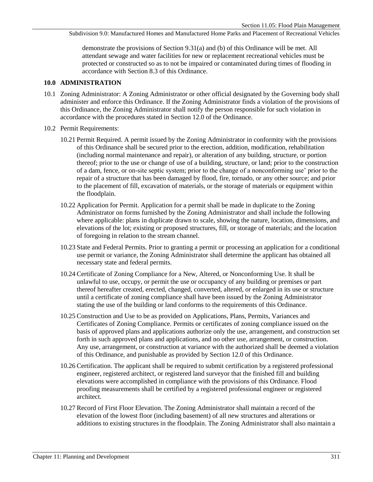Subdivision 9.0: Manufactured Homes and Manufactured Home Parks and Placement of Recreational Vehicles

demonstrate the provisions of Section 9.31(a) and (b) of this Ordinance will be met. All attendant sewage and water facilities for new or replacement recreational vehicles must be protected or constructed so as to not be impaired or contaminated during times of flooding in accordance with Section 8.3 of this Ordinance.

#### **10.0 ADMINISTRATION**

- 10.1 Zoning Administrator: A Zoning Administrator or other official designated by the Governing body shall administer and enforce this Ordinance. If the Zoning Administrator finds a violation of the provisions of this Ordinance, the Zoning Administrator shall notify the person responsible for such violation in accordance with the procedures stated in Section 12.0 of the Ordinance.
- 10.2 Permit Requirements:
	- 10.21 Permit Required. A permit issued by the Zoning Administrator in conformity with the provisions of this Ordinance shall be secured prior to the erection, addition, modification, rehabilitation (including normal maintenance and repair), or alteration of any building, structure, or portion thereof; prior to the use or change of use of a building, structure, or land; prior to the construction of a dam, fence, or on-site septic system; prior to the change of a nonconforming use' prior to the repair of a structure that has been damaged by flood, fire, tornado, or any other source; and prior to the placement of fill, excavation of materials, or the storage of materials or equipment within the floodplain.
	- 10.22 Application for Permit. Application for a permit shall be made in duplicate to the Zoning Administrator on forms furnished by the Zoning Administrator and shall include the following where applicable: plans in duplicate drawn to scale, showing the nature, location, dimensions, and elevations of the lot; existing or proposed structures, fill, or storage of materials; and the location of foregoing in relation to the stream channel.
	- 10.23 State and Federal Permits. Prior to granting a permit or processing an application for a conditional use permit or variance, the Zoning Administrator shall determine the applicant has obtained all necessary state and federal permits.
	- 10.24 Certificate of Zoning Compliance for a New, Altered, or Nonconforming Use. It shall be unlawful to use, occupy, or permit the use or occupancy of any building or premises or part thereof hereafter created, erected, changed, converted, altered, or enlarged in its use or structure until a certificate of zoning compliance shall have been issued by the Zoning Administrator stating the use of the building or land conforms to the requirements of this Ordinance.
	- 10.25 Construction and Use to be as provided on Applications, Plans, Permits, Variances and Certificates of Zoning Compliance. Permits or certificates of zoning compliance issued on the basis of approved plans and applications authorize only the use, arrangement, and construction set forth in such approved plans and applications, and no other use, arrangement, or construction. Any use, arrangement, or construction at variance with the authorized shall be deemed a violation of this Ordinance, and punishable as provided by Section 12.0 of this Ordinance.
	- 10.26 Certification. The applicant shall be required to submit certification by a registered professional engineer, registered architect, or registered land surveyor that the finished fill and building elevations were accomplished in compliance with the provisions of this Ordinance. Flood proofing measurements shall be certified by a registered professional engineer or registered architect.
	- 10.27 Record of First Floor Elevation. The Zoning Administrator shall maintain a record of the elevation of the lowest floor (including basement) of all new structures and alterations or additions to existing structures in the floodplain. The Zoning Administrator shall also maintain a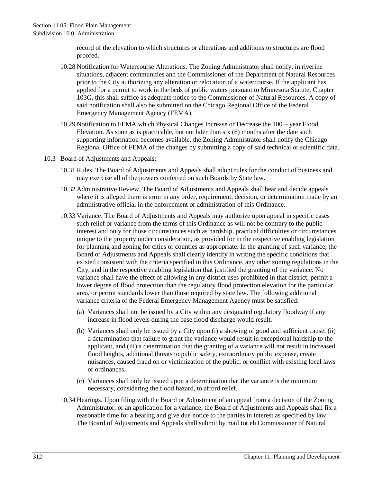Subdivision 10.0: Administration

record of the elevation to which structures or alterations and additions to structures are flood proofed.

- 10.28 Notification for Watercourse Alterations. The Zoning Administrator shall notify, in riverine situations, adjacent communities and the Commissioner of the Department of Natural Resources prior to the City authorizing any alteration or relocation of a watercourse. If the applicant has applied for a permit to work in the beds of public waters pursuant to Minnesota Statute, Chapter 103G, this shall suffice as adequate notice to the Commissioner of Natural Resources. A copy of said notification shall also be submitted on the Chicago Regional Office of the Federal Emergency Management Agency (FEMA).
- 10.29 Notification to FEMA which Physical Changes Increase or Decrease the 100 year Flood Elevation. As soon as is practicable, but not later than six (6) months after the date such supporting information becomes available, the Zoning Administrator shall notify the Chicago Regional Office of FEMA of the changes by submitting a copy of said technical or scientific data.
- 10.3 Board of Adjustments and Appeals:
	- 10.31 Rules. The Board of Adjustments and Appeals shall adopt rules for the conduct of business and may exercise all of the powers conferred on such Boards by State law.
	- 10.32 Administrative Review. The Board of Adjustments and Appeals shall hear and decide appeals where it is alleged there is error in any order, requirement, decision, or determination made by an administrative official in the enforcement or administration of this Ordinance.
	- 10.33 Variance. The Board of Adjustments and Appeals may authorize upon appeal in specific cases such relief or variance from the terms of this Ordinance as will not be contrary to the public interest and only for those circumstances such as hardship, practical difficulties or circumstances unique to the property under consideration, as provided for in the respective enabling legislation for planning and zoning for cities or counties as appropriate. In the granting of such variance, the Board of Adjustments and Appeals shall clearly identify in writing the specific conditions that existed consistent with the criteria specified in this Ordinance, any other zoning regulations in the City, and in the respective enabling legislation that justified the granting of the variance. No variance shall have the effect of allowing in any district uses prohibited in that district; permit a lower degree of flood protection than the regulatory flood protection elevation for the particular area, or permit standards lower than those required by state law. The following additional variance criteria of the Federal Emergency Management Agency must be satisfied:
		- (a) Variances shall not be issued by a City within any designated regulatory floodway if any increase in flood levels during the base flood discharge would result.
		- (b) Variances shall only be issued by a City upon (i) a showing of good and sufficient cause, (ii) a determination that failure to grant the variance would result in exceptional hardship to the applicant, and (iii) a determination that the granting of a variance will not result in increased flood heights, additional threats to public safety, extraordinary public expense, create nuisances, caused fraud on or victimization of the public, or conflict with existing local laws or ordinances.
		- (c) Variances shall only be issued upon a determination that the variance is the minimum necessary, considering the flood hazard, to afford relief.
	- 10.34 Hearings. Upon filing with the Board or Adjustment of an appeal from a decision of the Zoning Administrator, or an application for a variance, the Board of Adjustments and Appeals shall fix a reasonable time for a hearing and give due notice to the parties in interest as specified by law. The Board of Adjustments and Appeals shall submit by mail tot eh Commissioner of Natural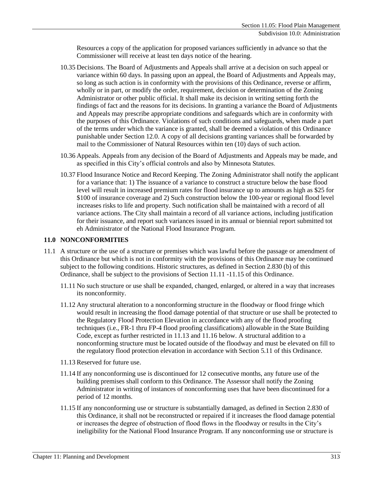Resources a copy of the application for proposed variances sufficiently in advance so that the Commissioner will receive at least ten days notice of the hearing.

- 10.35 Decisions. The Board of Adjustments and Appeals shall arrive at a decision on such appeal or variance within 60 days. In passing upon an appeal, the Board of Adjustments and Appeals may, so long as such action is in conformity with the provisions of this Ordinance, reverse or affirm, wholly or in part, or modify the order, requirement, decision or determination of the Zoning Administrator or other public official. It shall make its decision in writing setting forth the findings of fact and the reasons for its decisions. In granting a variance the Board of Adjustments and Appeals may prescribe appropriate conditions and safeguards which are in conformity with the purposes of this Ordinance. Violations of such conditions and safeguards, when made a part of the terms under which the variance is granted, shall be deemed a violation of this Ordinance punishable under Section 12.0. A copy of all decisions granting variances shall be forwarded by mail to the Commissioner of Natural Resources within ten (10) days of such action.
- 10.36 Appeals. Appeals from any decision of the Board of Adjustments and Appeals may be made, and as specified in this City's official controls and also by Minnesota Statutes.
- 10.37 Flood Insurance Notice and Record Keeping. The Zoning Administrator shall notify the applicant for a variance that: 1) The issuance of a variance to construct a structure below the base flood level will result in increased premium rates for flood insurance up to amounts as high as \$25 for \$100 of insurance coverage and 2) Such construction below the 100-year or regional flood level increases risks to life and property. Such notification shall be maintained with a record of all variance actions. The City shall maintain a record of all variance actions, including justification for their issuance, and report such variances issued in its annual or biennial report submitted tot eh Administrator of the National Flood Insurance Program.

#### **11.0 NONCONFORMITIES**

- 11.1 A structure or the use of a structure or premises which was lawful before the passage or amendment of this Ordinance but which is not in conformity with the provisions of this Ordinance may be continued subject to the following conditions. Historic structures, as defined in Section 2.830 (b) of this Ordinance, shall be subject to the provisions of Section 11.11 -11.15 of this Ordinance.
	- 11.11 No such structure or use shall be expanded, changed, enlarged, or altered in a way that increases its nonconformity.
	- 11.12 Any structural alteration to a nonconforming structure in the floodway or flood fringe which would result in increasing the flood damage potential of that structure or use shall be protected to the Regulatory Flood Protection Elevation in accordance with any of the flood proofing techniques (i.e., FR-1 thru FP-4 flood proofing classifications) allowable in the State Building Code, except as further restricted in 11.13 and 11.16 below. A structural addition to a nonconforming structure must be located outside of the floodway and must be elevated on fill to the regulatory flood protection elevation in accordance with Section 5.11 of this Ordinance.
	- 11.13 Reserved for future use.
	- 11.14 If any nonconforming use is discontinued for 12 consecutive months, any future use of the building premises shall conform to this Ordinance. The Assessor shall notify the Zoning Administrator in writing of instances of nonconforming uses that have been discontinued for a period of 12 months.
	- 11.15 If any nonconforming use or structure is substantially damaged, as defined in Section 2.830 of this Ordinance, it shall not be reconstructed or repaired if it increases the flood damage potential or increases the degree of obstruction of flood flows in the floodway or results in the City's ineligibility for the National Flood Insurance Program. If any nonconforming use or structure is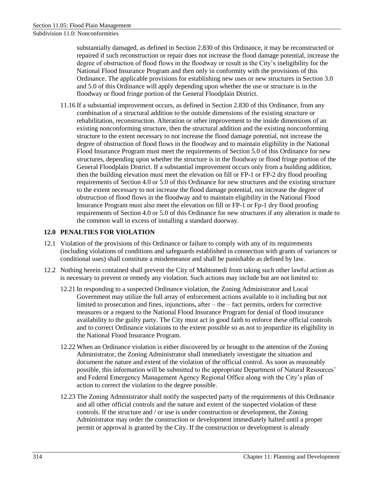Subdivision 11.0: Nonconformities

substantially damaged, as defined in Section 2.830 of this Ordinance, it may be reconstructed or repaired if such reconstruction or repair does not increase the flood damage potential, increase the degree of obstruction of flood flows in the floodway or result in the City's ineligibility for the National Flood Insurance Program and then only in conformity with the provisions of this Ordinance. The applicable provisions for establishing new uses or new structures in Section 3.0 and 5.0 of this Ordinance will apply depending upon whether the use or structure is in the floodway or flood fringe portion of the General Floodplain District.

11.16 If a substantial improvement occurs, as defined in Section 2.830 of this Ordinance, from any combination of a structural addition to the outside dimensions of the existing structure or rehabilitation, reconstruction. Alteration or other improvement to the inside dimensions of an existing nonconforming structure, then the structural addition and the existing nonconforming structure to the extent necessary to not increase the flood damage potential, not increase the degree of obstruction of flood flows in the floodway and to maintain eligibility in the National Flood Insurance Program must meet the requirements of Section 5.0 of this Ordinance for new structures, depending upon whether the structure is in the floodway or flood fringe portion of the General Floodplain District. If a substantial improvement occurs only from a building addition, then the building elevation must meet the elevation on fill or FP-1 or FP-2 dry flood proofing requirements of Section 4.0 or 5.0 of this Ordinance for new structures and the existing structure to the extent necessary to not increase the flood damage potential, not increase the degree of obstruction of flood flows in the floodway and to maintain eligibility in the National Flood Insurance Program must also meet the elevation on fill or FP-1 or Fp-1 dry flood proofing requirements of Section 4.0 or 5.0 of this Ordinance for new structures if any alteration is made to the common wall in excess of installing a standard doorway.

### **12.0 PENALTIES FOR VIOLATION**

- 12.1 Violation of the provisions of this Ordinance or failure to comply with any of its requirements (including violations of conditions and safeguards established in connection with grants of variances or conditional uses) shall constitute a misdemeanor and shall be punishable as defined by law.
- 12.2 Nothing herein contained shall prevent the City of Mahtomedi from taking such other lawful action as is necessary to prevent or remedy any violation. Such actions may include but are not limited to:
	- 12.21 In responding to a suspected Ordinance violation, the Zoning Administrator and Local Government may utilize the full array of enforcement actions available to it including but not limited to prosecution and fines, injunctions, after – the – fact permits, orders for corrective measures or a request to the National Flood Insurance Program for denial of flood insurance availability to the guilty party. The City must act in good faith to enforce these official controls and to correct Ordinance violations to the extent possible so as not to jeopardize its eligibility in the National Flood Insurance Program.
	- 12.22 When an Ordinance violation is either discovered by or brought to the attention of the Zoning Administrator, the Zoning Administrator shall immediately investigate the situation and document the nature and extent of the violation of the official control. As soon as reasonably possible, this information will be submitted to the appropriate Department of Natural Resources' and Federal Emergency Management Agency Regional Office along with the City's plan of action to correct the violation to the degree possible.
	- 12.23 The Zoning Administrator shall notify the suspected party of the requirements of this Ordinance and all other official controls and the nature and extent of the suspected violation of these controls. If the structure and / or use is under construction or development, the Zoning Administrator may order the construction or development immediately halted until a proper permit or approval is granted by the City. If the construction or development is already